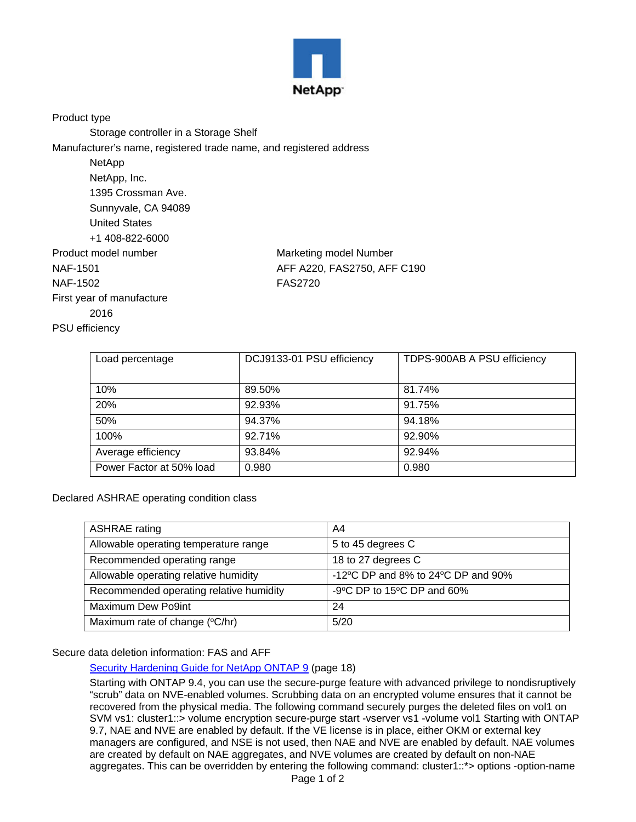

Product type

Storage controller in a Storage Shelf

Manufacturer's name, registered trade name, and registered address

NetApp NetApp, Inc. 1395 Crossman Ave. Sunnyvale, CA 94089 United States +1 408-822-6000 Product model number Marketing model Number NAF-1501 **AFF A220, FAS2750, AFF C190** NAF-1502 FAS2720 First year of manufacture 2016 PSU efficiency

| Load percentage          | DCJ9133-01 PSU efficiency | TDPS-900AB A PSU efficiency |
|--------------------------|---------------------------|-----------------------------|
|                          |                           |                             |
| 10%                      | 89.50%                    | 81.74%                      |
| 20%                      | 92.93%                    | 91.75%                      |
| 50%                      | 94.37%                    | 94.18%                      |
| 100%                     | 92.71%                    | 92.90%                      |
| Average efficiency       | 93.84%                    | 92.94%                      |
| Power Factor at 50% load | 0.980                     | 0.980                       |

Declared ASHRAE operating condition class

| <b>ASHRAE</b> rating                    | A4                                                     |
|-----------------------------------------|--------------------------------------------------------|
| Allowable operating temperature range   | 5 to 45 degrees C                                      |
| Recommended operating range             | 18 to 27 degrees C                                     |
| Allowable operating relative humidity   | -12 $\degree$ C DP and 8% to 24 $\degree$ C DP and 90% |
| Recommended operating relative humidity | -9 $\degree$ C DP to 15 $\degree$ C DP and 60%         |
| Maximum Dew Po9int                      | 24                                                     |
| Maximum rate of change (°C/hr)          | 5/20                                                   |

## Secure data deletion information: FAS and AFF

[Security Hardening Guide for NetApp ONTAP 9](https://www.netapp.com/us/media/tr-4569.pdf) (page 18)

Starting with ONTAP 9.4, you can use the secure-purge feature with advanced privilege to nondisruptively "scrub" data on NVE-enabled volumes. Scrubbing data on an encrypted volume ensures that it cannot be recovered from the physical media. The following command securely purges the deleted files on vol1 on SVM vs1: cluster1::> volume encryption secure-purge start -vserver vs1 -volume vol1 Starting with ONTAP 9.7, NAE and NVE are enabled by default. If the VE license is in place, either OKM or external key managers are configured, and NSE is not used, then NAE and NVE are enabled by default. NAE volumes are created by default on NAE aggregates, and NVE volumes are created by default on non-NAE aggregates. This can be overridden by entering the following command: cluster1::\*> options -option-name